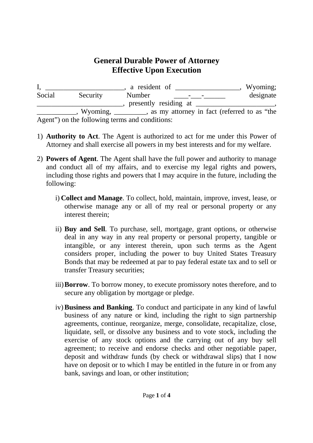## **General Durable Power of Attorney Effective Upon Execution**

I, \_\_\_\_\_\_\_\_\_\_\_\_\_\_\_\_\_\_\_\_, a resident of \_\_\_\_\_\_\_\_\_\_\_\_\_\_\_\_\_, Wyoming; Social Security Number \_\_\_\_-\_\_\_\_\_\_\_\_\_\_ designate  $\frac{1}{\sqrt{2\pi}}$ , presently residing at  $\frac{1}{\sqrt{2\pi}}$ \_\_\_\_\_\_\_\_\_\_\_, Wyoming, \_\_\_\_\_\_\_\_\_, as my attorney in fact (referred to as "the

Agent") on the following terms and conditions:

- 1) **Authority to Act**. The Agent is authorized to act for me under this Power of Attorney and shall exercise all powers in my best interests and for my welfare.
- 2) **Powers of Agent**. The Agent shall have the full power and authority to manage and conduct all of my affairs, and to exercise my legal rights and powers, including those rights and powers that I may acquire in the future, including the following:
	- i) **Collect and Manage**. To collect, hold, maintain, improve, invest, lease, or otherwise manage any or all of my real or personal property or any interest therein;
	- ii) **Buy and Sell**. To purchase, sell, mortgage, grant options, or otherwise deal in any way in any real property or personal property, tangible or intangible, or any interest therein, upon such terms as the Agent considers proper, including the power to buy United States Treasury Bonds that may be redeemed at par to pay federal estate tax and to sell or transfer Treasury securities;
	- iii)**Borrow**. To borrow money, to execute promissory notes therefore, and to secure any obligation by mortgage or pledge.
	- iv)**Business and Banking**. To conduct and participate in any kind of lawful business of any nature or kind, including the right to sign partnership agreements, continue, reorganize, merge, consolidate, recapitalize, close, liquidate, sell, or dissolve any business and to vote stock, including the exercise of any stock options and the carrying out of any buy sell agreement; to receive and endorse checks and other negotiable paper, deposit and withdraw funds (by check or withdrawal slips) that I now have on deposit or to which I may be entitled in the future in or from any bank, savings and loan, or other institution;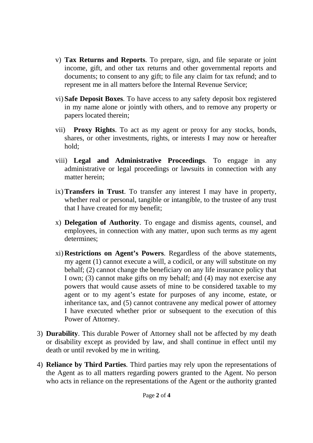- v) **Tax Returns and Reports**. To prepare, sign, and file separate or joint income, gift, and other tax returns and other governmental reports and documents; to consent to any gift; to file any claim for tax refund; and to represent me in all matters before the Internal Revenue Service;
- vi) **Safe Deposit Boxes**. To have access to any safety deposit box registered in my name alone or jointly with others, and to remove any property or papers located therein;
- vii) **Proxy Rights**. To act as my agent or proxy for any stocks, bonds, shares, or other investments, rights, or interests I may now or hereafter hold;
- viii) **Legal and Administrative Proceedings**. To engage in any administrative or legal proceedings or lawsuits in connection with any matter herein;
- ix)**Transfers in Trust**. To transfer any interest I may have in property, whether real or personal, tangible or intangible, to the trustee of any trust that I have created for my benefit;
- x) **Delegation of Authority**. To engage and dismiss agents, counsel, and employees, in connection with any matter, upon such terms as my agent determines;
- xi) **Restrictions on Agent's Powers**. Regardless of the above statements, my agent (1) cannot execute a will, a codicil, or any will substitute on my behalf; (2) cannot change the beneficiary on any life insurance policy that I own; (3) cannot make gifts on my behalf; and (4) may not exercise any powers that would cause assets of mine to be considered taxable to my agent or to my agent's estate for purposes of any income, estate, or inheritance tax, and (5) cannot contravene any medical power of attorney I have executed whether prior or subsequent to the execution of this Power of Attorney.
- 3) **Durability**. This durable Power of Attorney shall not be affected by my death or disability except as provided by law, and shall continue in effect until my death or until revoked by me in writing.
- 4) **Reliance by Third Parties**. Third parties may rely upon the representations of the Agent as to all matters regarding powers granted to the Agent. No person who acts in reliance on the representations of the Agent or the authority granted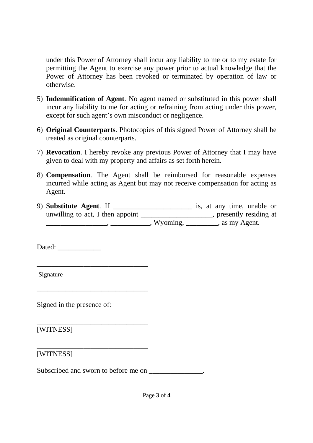under this Power of Attorney shall incur any liability to me or to my estate for permitting the Agent to exercise any power prior to actual knowledge that the Power of Attorney has been revoked or terminated by operation of law or otherwise.

- 5) **Indemnification of Agent**. No agent named or substituted in this power shall incur any liability to me for acting or refraining from acting under this power, except for such agent's own misconduct or negligence.
- 6) **Original Counterparts**. Photocopies of this signed Power of Attorney shall be treated as original counterparts.
- 7) **Revocation**. I hereby revoke any previous Power of Attorney that I may have given to deal with my property and affairs as set forth herein.
- 8) **Compensation**. The Agent shall be reimbursed for reasonable expenses incurred while acting as Agent but may not receive compensation for acting as Agent.
- 9) **Substitute Agent**. If \_\_\_\_\_\_\_\_\_\_\_\_\_\_\_\_\_\_\_\_\_\_ is, at any time, unable or unwilling to act, I then appoint \_\_\_\_\_\_\_\_\_\_\_\_\_\_\_\_\_\_\_\_, presently residing at \_\_\_\_\_\_\_\_\_\_\_\_\_\_\_\_\_, \_\_\_\_\_\_\_\_\_\_\_, Wyoming, \_\_\_\_\_\_\_\_\_, as my Agent.

Dated:

Signature

Signed in the presence of:

\_\_\_\_\_\_\_\_\_\_\_\_\_\_\_\_\_\_\_\_\_\_\_\_\_\_\_\_\_\_\_

\_\_\_\_\_\_\_\_\_\_\_\_\_\_\_\_\_\_\_\_\_\_\_\_\_\_\_\_\_\_\_

\_\_\_\_\_\_\_\_\_\_\_\_\_\_\_\_\_\_\_\_\_\_\_\_\_\_\_\_\_\_\_

\_\_\_\_\_\_\_\_\_\_\_\_\_\_\_\_\_\_\_\_\_\_\_\_\_\_\_\_\_\_\_

[WITNESS]

[WITNESS]

Subscribed and sworn to before me on \_\_\_\_\_\_\_\_\_\_\_\_\_\_.